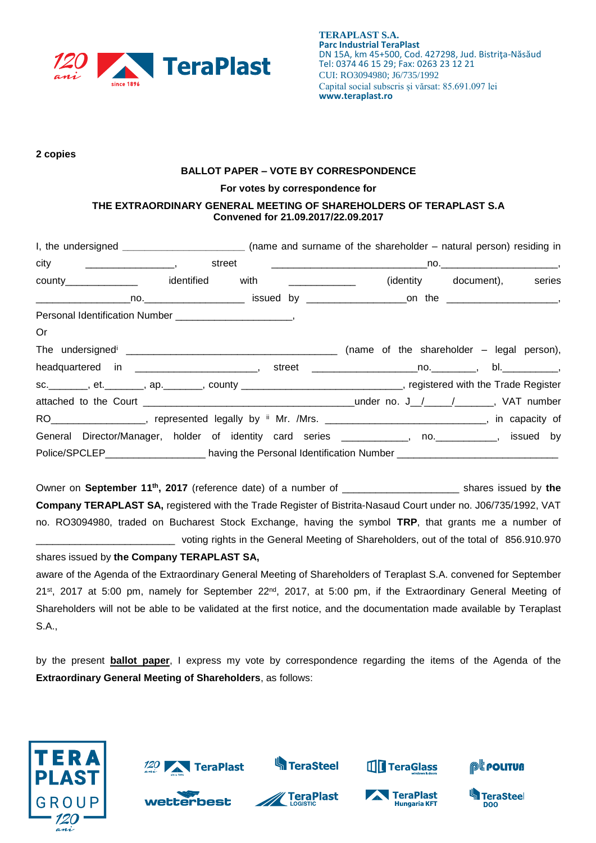

#### **2 copies**

## **BALLOT PAPER – VOTE BY CORRESPONDENCE**

#### **For votes by correspondence for**

### **THE EXTRAORDINARY GENERAL MEETING OF SHAREHOLDERS OF TERAPLAST S.A Convened for 21.09.2017/22.09.2017**

| county_________________  identified with ______________ |  |  |                                                                                                                    | (identity document), series |  |
|---------------------------------------------------------|--|--|--------------------------------------------------------------------------------------------------------------------|-----------------------------|--|
|                                                         |  |  |                                                                                                                    |                             |  |
|                                                         |  |  |                                                                                                                    |                             |  |
| Or                                                      |  |  |                                                                                                                    |                             |  |
|                                                         |  |  |                                                                                                                    |                             |  |
|                                                         |  |  | headquartered in _________________________, street ______________________________, bl.____________,                |                             |  |
|                                                         |  |  | sc. ________, et. _______, ap. _______, county _______________________________, registered with the Trade Register |                             |  |
|                                                         |  |  |                                                                                                                    |                             |  |
|                                                         |  |  | RO__________________, represented legally by ii Mr. /Mrs. _____________________________, in capacity of            |                             |  |
|                                                         |  |  | General Director/Manager, holder of identity card series ____________, no. __________, issued by                   |                             |  |
|                                                         |  |  | Police/SPCLEP______________________ having the Personal Identification Number ____________________________         |                             |  |

Owner on **September 11th , 2017** (reference date) of a number of \_\_\_\_\_\_\_\_\_\_\_\_\_\_\_\_\_\_\_\_\_ shares issued by **the Company TERAPLAST SA,** registered with the Trade Register of Bistrita-Nasaud Court under no. J06/735/1992, VAT no. RO3094980, traded on Bucharest Stock Exchange, having the symbol **TRP**, that grants me a number of \_\_\_\_\_\_\_\_\_\_\_\_\_\_\_\_\_\_\_\_\_\_\_\_\_ voting rights in the General Meeting of Shareholders, out of the total of 856.910.970

### shares issued by **the Company TERAPLAST SA,**

aware of the Agenda of the Extraordinary General Meeting of Shareholders of Teraplast S.A. convened for September  $21^{st}$ , 2017 at 5:00 pm, namely for September  $22^{nd}$ , 2017, at 5:00 pm, if the Extraordinary General Meeting of Shareholders will not be able to be validated at the first notice, and the documentation made available by Teraplast S.A.,

by the present **ballot paper**, I express my vote by correspondence regarding the items of the Agenda of the **Extraordinary General Meeting of Shareholders**, as follows:





**best** 







**THE TeraGlass** 



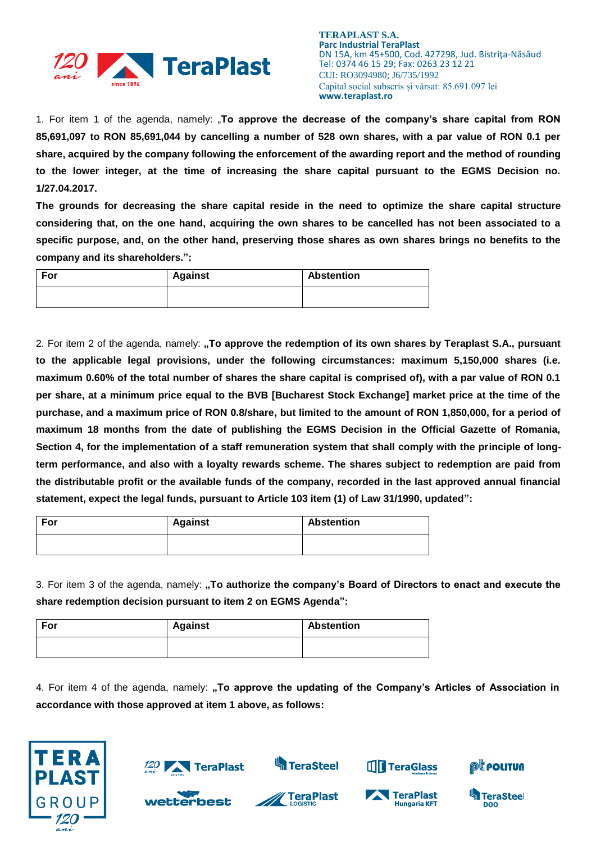

**TERAPLAST S.A. Parc Industrial TeraPlast** DN 15A, km 45+500, Cod. 427298, Jud. Bistriţa-Năsăud Tel: 0374 46 15 29; Fax: 0263 23 12 21 CUI: RO3094980; J6/735/1992 Capital social subscris și vărsat: 85.691.097 lei **www.teraplast.ro**

1. For item 1 of the agenda, namely: "**To approve the decrease of the company's share capital from RON 85,691,097 to RON 85,691,044 by cancelling a number of 528 own shares, with a par value of RON 0.1 per share, acquired by the company following the enforcement of the awarding report and the method of rounding to the lower integer, at the time of increasing the share capital pursuant to the EGMS Decision no. 1/27.04.2017.**

**The grounds for decreasing the share capital reside in the need to optimize the share capital structure considering that, on the one hand, acquiring the own shares to be cancelled has not been associated to a specific purpose, and, on the other hand, preserving those shares as own shares brings no benefits to the company and its shareholders.":**

| For | <b>Against</b> | <b>Abstention</b> |
|-----|----------------|-------------------|
|     |                |                   |

2. For item 2 of the agenda, namely: **"To approve the redemption of its own shares by Teraplast S.A., pursuant to the applicable legal provisions, under the following circumstances: maximum 5,150,000 shares (i.e. maximum 0.60% of the total number of shares the share capital is comprised of), with a par value of RON 0.1 per share, at a minimum price equal to the BVB [Bucharest Stock Exchange] market price at the time of the purchase, and a maximum price of RON 0.8/share, but limited to the amount of RON 1,850,000, for a period of maximum 18 months from the date of publishing the EGMS Decision in the Official Gazette of Romania, Section 4, for the implementation of a staff remuneration system that shall comply with the principle of longterm performance, and also with a loyalty rewards scheme. The shares subject to redemption are paid from the distributable profit or the available funds of the company, recorded in the last approved annual financial statement, expect the legal funds, pursuant to Article 103 item (1) of Law 31/1990, updated":**

| For | <b>Against</b> | <b>Abstention</b> |
|-----|----------------|-------------------|
|     |                |                   |

3. For item 3 of the agenda, namely: **"To authorize the company's Board of Directors to enact and execute the share redemption decision pursuant to item 2 on EGMS Agenda":**

| For | <b>Against</b> | <b>Abstention</b> |
|-----|----------------|-------------------|
|     |                |                   |

TeraPlast

best

4. For item 4 of the agenda, namely: "To approve the updating of the Company's Articles of Association in **accordance with those approved at item 1 above, as follows:**

**S**TeraSteel







**TTT** TeraGlass



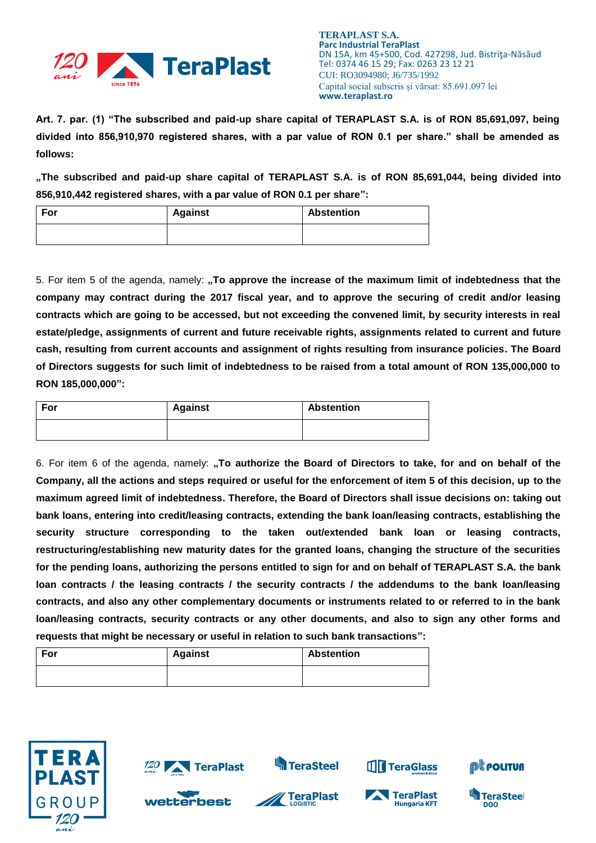

**Art. 7. par. (1) "The subscribed and paid-up share capital of TERAPLAST S.A. is of RON 85,691,097, being divided into 856,910,970 registered shares, with a par value of RON 0.1 per share." shall be amended as follows:**

**"The subscribed and paid-up share capital of TERAPLAST S.A. is of RON 85,691,044, being divided into 856,910,442 registered shares, with a par value of RON 0.1 per share":**

| For | <b>Against</b> | <b>Abstention</b> |
|-----|----------------|-------------------|
|     |                |                   |

5. For item 5 of the agenda, namely: **"To approve the increase of the maximum limit of indebtedness that the company may contract during the 2017 fiscal year, and to approve the securing of credit and/or leasing contracts which are going to be accessed, but not exceeding the convened limit, by security interests in real estate/pledge, assignments of current and future receivable rights, assignments related to current and future cash, resulting from current accounts and assignment of rights resulting from insurance policies. The Board of Directors suggests for such limit of indebtedness to be raised from a total amount of RON 135,000,000 to RON 185,000,000":**

| For | <b>Against</b> | <b>Abstention</b> |
|-----|----------------|-------------------|
|     |                |                   |

6. For item 6 of the agenda, namely: **"To authorize the Board of Directors to take, for and on behalf of the Company, all the actions and steps required or useful for the enforcement of item 5 of this decision, up to the maximum agreed limit of indebtedness. Therefore, the Board of Directors shall issue decisions on: taking out bank loans, entering into credit/leasing contracts, extending the bank loan/leasing contracts, establishing the security structure corresponding to the taken out/extended bank loan or leasing contracts, restructuring/establishing new maturity dates for the granted loans, changing the structure of the securities for the pending loans, authorizing the persons entitled to sign for and on behalf of TERAPLAST S.A. the bank loan contracts / the leasing contracts / the security contracts / the addendums to the bank loan/leasing contracts, and also any other complementary documents or instruments related to or referred to in the bank loan/leasing contracts, security contracts or any other documents, and also to sign any other forms and requests that might be necessary or useful in relation to such bank transactions":**

| For | <b>Against</b> | <b>Abstention</b> |
|-----|----------------|-------------------|
|     |                |                   |





**best** 







**TIT** TeraGlass



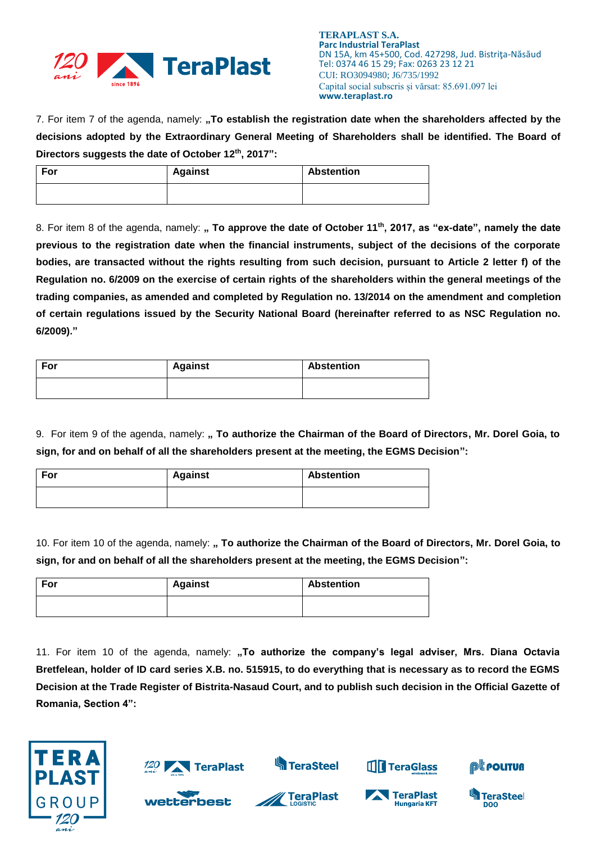

7. For item 7 of the agenda, namely: "To establish the registration date when the shareholders affected by the **decisions adopted by the Extraordinary General Meeting of Shareholders shall be identified. The Board of Directors suggests the date of October 12th, 2017":**

| For | <b>Against</b> | <b>Abstention</b> |
|-----|----------------|-------------------|
|     |                |                   |

8. For item 8 of the agenda, namely: " To approve the date of October 11<sup>th</sup>, 2017, as "ex-date", namely the date **previous to the registration date when the financial instruments, subject of the decisions of the corporate bodies, are transacted without the rights resulting from such decision, pursuant to Article 2 letter f) of the Regulation no. 6/2009 on the exercise of certain rights of the shareholders within the general meetings of the trading companies, as amended and completed by Regulation no. 13/2014 on the amendment and completion of certain regulations issued by the Security National Board (hereinafter referred to as NSC Regulation no. 6/2009)."**

| For | <b>Against</b> | <b>Abstention</b> |
|-----|----------------|-------------------|
|     |                |                   |

9. For item 9 of the agenda, namely: " To authorize the Chairman of the Board of Directors, Mr. Dorel Goia, to **sign, for and on behalf of all the shareholders present at the meeting, the EGMS Decision":**

| For | <b>Against</b> | <b>Abstention</b> |
|-----|----------------|-------------------|
|     |                |                   |

10. For item 10 of the agenda, namely: " To authorize the Chairman of the Board of Directors, Mr. Dorel Goia, to **sign, for and on behalf of all the shareholders present at the meeting, the EGMS Decision":**

| For | <b>Against</b> | <b>Abstention</b> |
|-----|----------------|-------------------|
|     |                |                   |

11. For item 10 of the agenda, namely: **"To authorize the company's legal adviser, Mrs. Diana Octavia Bretfelean, holder of ID card series X.B. no. 515915, to do everything that is necessary as to record the EGMS Decision at the Trade Register of Bistrita-Nasaud Court, and to publish such decision in the Official Gazette of Romania, Section 4":**